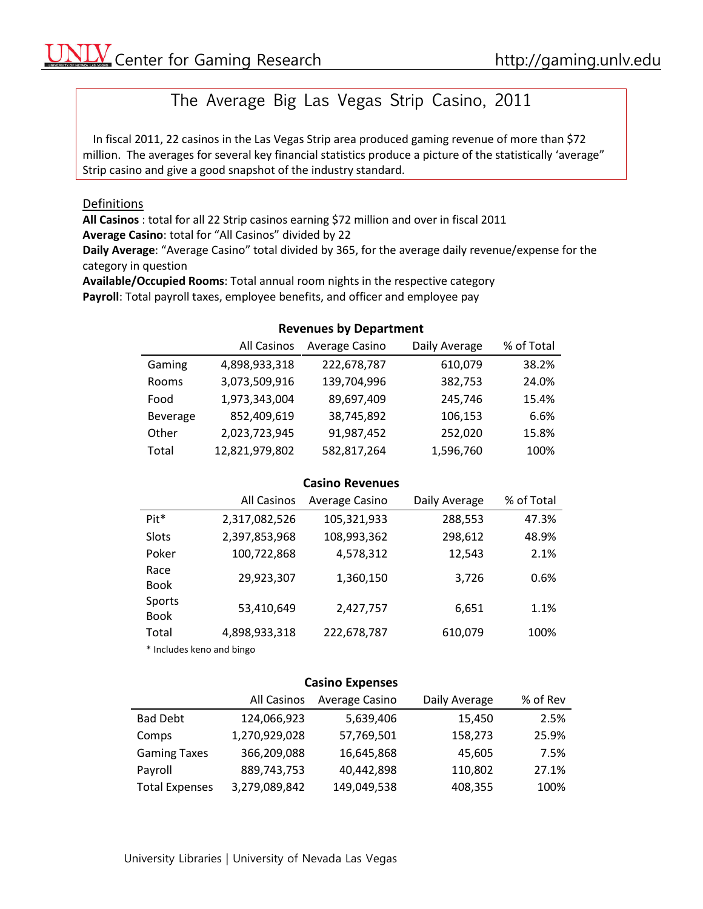# The Average Big Las Vegas Strip Casino, 2011

In fiscal 2011, 22 casinos in the Las Vegas Strip area produced gaming revenue of more than \$72 million. The averages for several key financial statistics produce a picture of the statistically 'average" Strip casino and give a good snapshot of the industry standard.

#### Definitions

**All Casinos** : total for all 22 Strip casinos earning \$72 million and over in fiscal 2011 **Average Casino**: total for "All Casinos" divided by 22

**Daily Average**: "Average Casino" total divided by 365, for the average daily revenue/expense for the category in question

**Available/Occupied Rooms**: Total annual room nights in the respective category **Payroll**: Total payroll taxes, employee benefits, and officer and employee pay

# **Revenues by Department**

|          | All Casinos    | Average Casino | Daily Average | % of Total |
|----------|----------------|----------------|---------------|------------|
| Gaming   | 4,898,933,318  | 222,678,787    | 610,079       | 38.2%      |
| Rooms    | 3,073,509,916  | 139,704,996    | 382,753       | 24.0%      |
| Food     | 1,973,343,004  | 89,697,409     | 245,746       | 15.4%      |
| Beverage | 852,409,619    | 38,745,892     | 106,153       | 6.6%       |
| Other    | 2,023,723,945  | 91,987,452     | 252,020       | 15.8%      |
| Total    | 12,821,979,802 | 582,817,264    | 1,596,760     | 100%       |

## **Casino Revenues**

|                                         | All Casinos   | Average Casino | Daily Average | % of Total |
|-----------------------------------------|---------------|----------------|---------------|------------|
| Pit <sup>*</sup>                        | 2,317,082,526 | 105,321,933    | 288,553       | 47.3%      |
| Slots                                   | 2,397,853,968 | 108,993,362    | 298,612       | 48.9%      |
| Poker                                   | 100,722,868   | 4,578,312      | 12,543        | 2.1%       |
| Race<br><b>Book</b>                     | 29,923,307    | 1,360,150      | 3,726         | 0.6%       |
| Sports<br><b>Book</b>                   | 53,410,649    | 2,427,757      | 6,651         | 1.1%       |
| Total                                   | 4,898,933,318 | 222,678,787    | 610,079       | 100%       |
| * Islah dengan bermudan dan dikenali ke |               |                |               |            |

\* Includes keno and bingo

#### **Casino Expenses**

|                       | All Casinos   | Average Casino | Daily Average | % of Rev |
|-----------------------|---------------|----------------|---------------|----------|
| <b>Bad Debt</b>       | 124,066,923   | 5,639,406      | 15,450        | 2.5%     |
| Comps                 | 1,270,929,028 | 57,769,501     | 158,273       | 25.9%    |
| <b>Gaming Taxes</b>   | 366,209,088   | 16,645,868     | 45,605        | 7.5%     |
| Payroll               | 889,743,753   | 40,442,898     | 110,802       | 27.1%    |
| <b>Total Expenses</b> | 3,279,089,842 | 149,049,538    | 408,355       | 100%     |